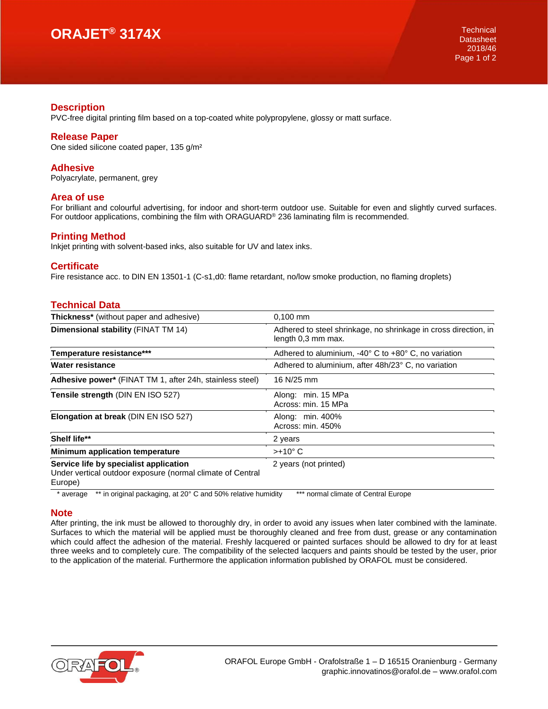# **ORAJET® 3174X**

## **Description**

PVC-free digital printing film based on a top-coated white polypropylene, glossy or matt surface.

### **Release Paper**

One sided silicone coated paper, 135 g/m²

## **Adhesive**

Polyacrylate, permanent, grey

#### **Area of use**

For brilliant and colourful advertising, for indoor and short-term outdoor use. Suitable for even and slightly curved surfaces. For outdoor applications, combining the film with ORAGUARD® 236 laminating film is recommended.

#### **Printing Method**

Inkjet printing with solvent-based inks, also suitable for UV and latex inks.

#### **Certificate**

Fire resistance acc. to DIN EN 13501-1 (C-s1,d0: flame retardant, no/low smoke production, no flaming droplets)

## **Technical Data**

| Thickness* (without paper and adhesive)                                                                         | $0,100$ mm                                                                            |
|-----------------------------------------------------------------------------------------------------------------|---------------------------------------------------------------------------------------|
| Dimensional stability (FINAT TM 14)                                                                             | Adhered to steel shrinkage, no shrinkage in cross direction, in<br>length 0,3 mm max. |
| Temperature resistance***                                                                                       | Adhered to aluminium, -40° C to +80° C, no variation                                  |
| Water resistance                                                                                                | Adhered to aluminium, after 48h/23° C, no variation                                   |
| Adhesive power* (FINAT TM 1, after 24h, stainless steel)                                                        | 16 N/25 mm                                                                            |
| Tensile strength (DIN EN ISO 527)                                                                               | Along: min. 15 MPa<br>Across: min. 15 MPa                                             |
| Elongation at break (DIN EN ISO 527)                                                                            | Along: min. 400%<br>Across: min. 450%                                                 |
| Shelf life**                                                                                                    | 2 years                                                                               |
| Minimum application temperature                                                                                 | $>+10^{\circ}$ C                                                                      |
| Service life by specialist application<br>Under vertical outdoor exposure (normal climate of Central<br>Europe) | 2 years (not printed)                                                                 |

\* average \*\* in original packaging, at 20° C and 50% relative humidity \*\*\* normal climate of Central Europe

#### **Note**

After printing, the ink must be allowed to thoroughly dry, in order to avoid any issues when later combined with the laminate. Surfaces to which the material will be applied must be thoroughly cleaned and free from dust, grease or any contamination which could affect the adhesion of the material. Freshly lacquered or painted surfaces should be allowed to dry for at least three weeks and to completely cure. The compatibility of the selected lacquers and paints should be tested by the user, prior to the application of the material. Furthermore the application information published by ORAFOL must be considered.